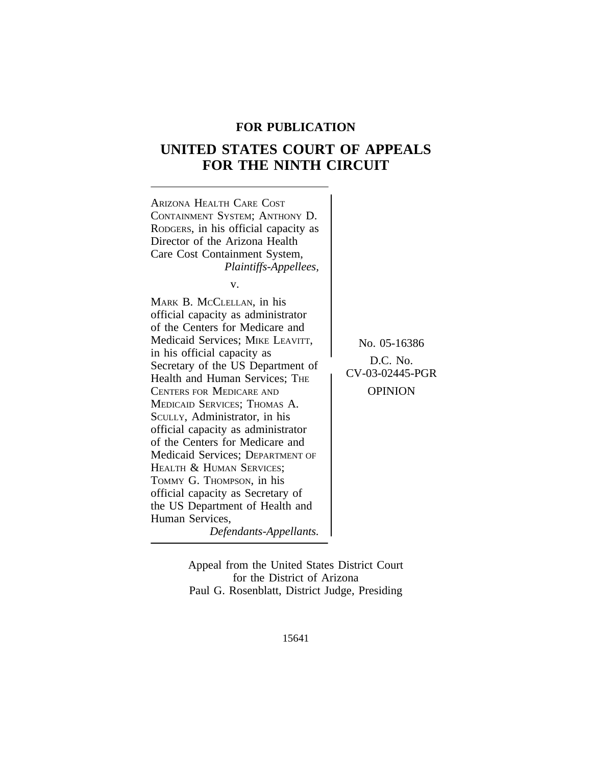# **FOR PUBLICATION**

# **UNITED STATES COURT OF APPEALS FOR THE NINTH CIRCUIT**



Appeal from the United States District Court for the District of Arizona Paul G. Rosenblatt, District Judge, Presiding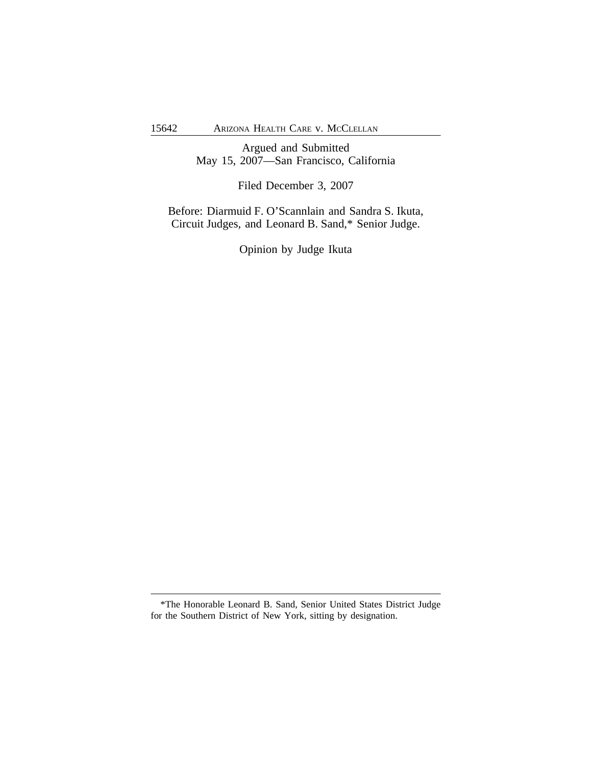Argued and Submitted May 15, 2007—San Francisco, California

Filed December 3, 2007

Before: Diarmuid F. O'Scannlain and Sandra S. Ikuta, Circuit Judges, and Leonard B. Sand,\* Senior Judge.

Opinion by Judge Ikuta

<sup>\*</sup>The Honorable Leonard B. Sand, Senior United States District Judge for the Southern District of New York, sitting by designation.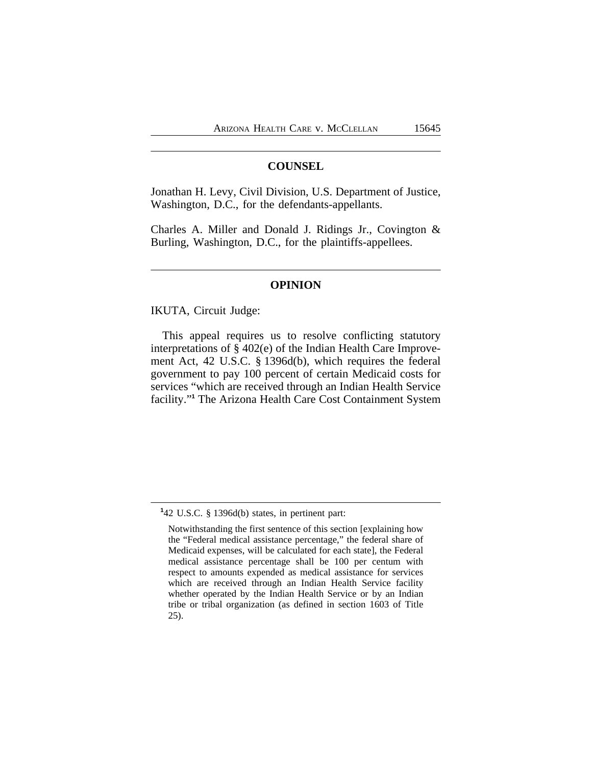### **COUNSEL**

Jonathan H. Levy, Civil Division, U.S. Department of Justice, Washington, D.C., for the defendants-appellants.

Charles A. Miller and Donald J. Ridings Jr., Covington & Burling, Washington, D.C., for the plaintiffs-appellees.

#### **OPINION**

IKUTA, Circuit Judge:

This appeal requires us to resolve conflicting statutory interpretations of § 402(e) of the Indian Health Care Improvement Act, 42 U.S.C. § 1396d(b), which requires the federal government to pay 100 percent of certain Medicaid costs for services "which are received through an Indian Health Service facility."<sup>1</sup> The Arizona Health Care Cost Containment System

**<sup>1</sup>** 42 U.S.C. § 1396d(b) states, in pertinent part:

Notwithstanding the first sentence of this section [explaining how the "Federal medical assistance percentage," the federal share of Medicaid expenses, will be calculated for each state], the Federal medical assistance percentage shall be 100 per centum with respect to amounts expended as medical assistance for services which are received through an Indian Health Service facility whether operated by the Indian Health Service or by an Indian tribe or tribal organization (as defined in section 1603 of Title 25).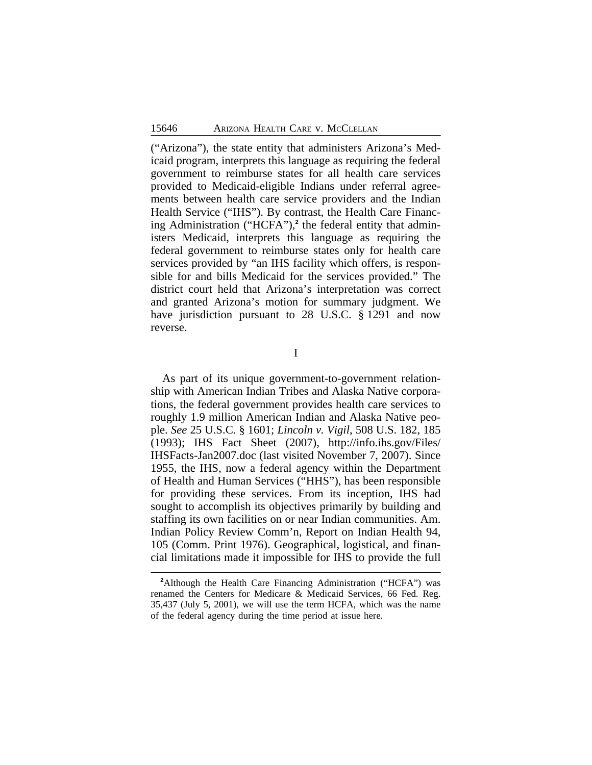("Arizona"), the state entity that administers Arizona's Medicaid program, interprets this language as requiring the federal government to reimburse states for all health care services provided to Medicaid-eligible Indians under referral agreements between health care service providers and the Indian Health Service ("IHS"). By contrast, the Health Care Financing Administration ("HCFA"),<sup>2</sup> the federal entity that administers Medicaid, interprets this language as requiring the federal government to reimburse states only for health care services provided by "an IHS facility which offers, is responsible for and bills Medicaid for the services provided." The district court held that Arizona's interpretation was correct and granted Arizona's motion for summary judgment. We have jurisdiction pursuant to 28 U.S.C. § 1291 and now reverse.

I

As part of its unique government-to-government relationship with American Indian Tribes and Alaska Native corporations, the federal government provides health care services to roughly 1.9 million American Indian and Alaska Native people. *See* 25 U.S.C. § 1601; *Lincoln v. Vigil*, 508 U.S. 182, 185 (1993); IHS Fact Sheet (2007), http://info.ihs.gov/Files/ IHSFacts-Jan2007.doc (last visited November 7, 2007). Since 1955, the IHS, now a federal agency within the Department of Health and Human Services ("HHS"), has been responsible for providing these services. From its inception, IHS had sought to accomplish its objectives primarily by building and staffing its own facilities on or near Indian communities. Am. Indian Policy Review Comm'n, Report on Indian Health 94, 105 (Comm. Print 1976). Geographical, logistical, and financial limitations made it impossible for IHS to provide the full

**<sup>2</sup>**Although the Health Care Financing Administration ("HCFA") was renamed the Centers for Medicare & Medicaid Services, 66 Fed. Reg. 35,437 (July 5, 2001), we will use the term HCFA, which was the name of the federal agency during the time period at issue here.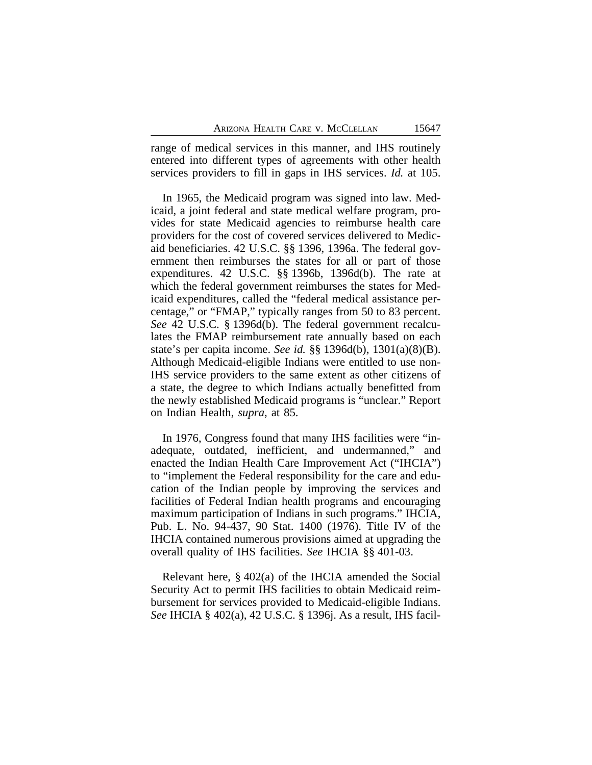range of medical services in this manner, and IHS routinely entered into different types of agreements with other health services providers to fill in gaps in IHS services. *Id.* at 105.

In 1965, the Medicaid program was signed into law. Medicaid, a joint federal and state medical welfare program, provides for state Medicaid agencies to reimburse health care providers for the cost of covered services delivered to Medicaid beneficiaries. 42 U.S.C. §§ 1396, 1396a. The federal government then reimburses the states for all or part of those expenditures. 42 U.S.C. §§ 1396b, 1396d(b). The rate at which the federal government reimburses the states for Medicaid expenditures, called the "federal medical assistance percentage," or "FMAP," typically ranges from 50 to 83 percent. *See* 42 U.S.C. § 1396d(b). The federal government recalculates the FMAP reimbursement rate annually based on each state's per capita income. *See id.* §§ 1396d(b), 1301(a)(8)(B). Although Medicaid-eligible Indians were entitled to use non-IHS service providers to the same extent as other citizens of a state, the degree to which Indians actually benefitted from the newly established Medicaid programs is "unclear." Report on Indian Health, *supra*, at 85.

In 1976, Congress found that many IHS facilities were "inadequate, outdated, inefficient, and undermanned," and enacted the Indian Health Care Improvement Act ("IHCIA") to "implement the Federal responsibility for the care and education of the Indian people by improving the services and facilities of Federal Indian health programs and encouraging maximum participation of Indians in such programs." IHCIA, Pub. L. No. 94-437, 90 Stat. 1400 (1976). Title IV of the IHCIA contained numerous provisions aimed at upgrading the overall quality of IHS facilities. *See* IHCIA §§ 401-03.

Relevant here, § 402(a) of the IHCIA amended the Social Security Act to permit IHS facilities to obtain Medicaid reimbursement for services provided to Medicaid-eligible Indians. *See* IHCIA § 402(a), 42 U.S.C. § 1396j. As a result, IHS facil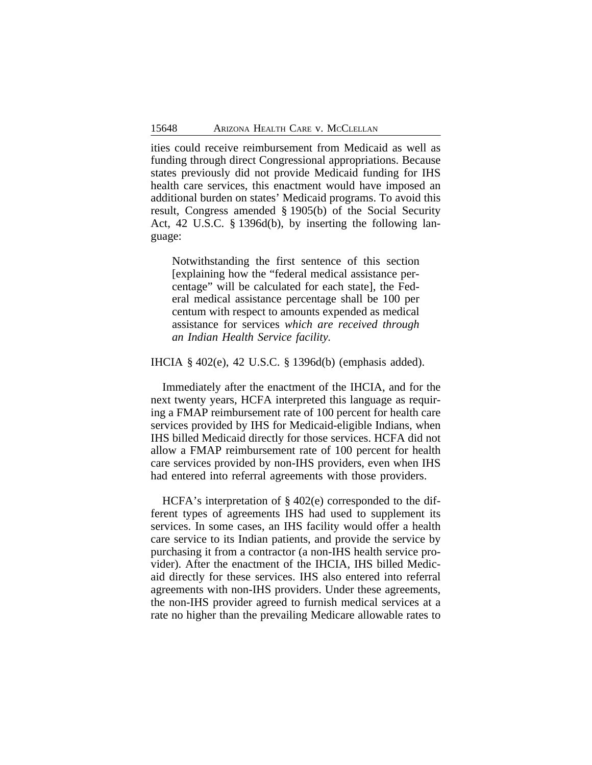ities could receive reimbursement from Medicaid as well as funding through direct Congressional appropriations. Because states previously did not provide Medicaid funding for IHS health care services, this enactment would have imposed an additional burden on states' Medicaid programs. To avoid this result, Congress amended § 1905(b) of the Social Security Act, 42 U.S.C. § 1396d(b), by inserting the following language:

Notwithstanding the first sentence of this section [explaining how the "federal medical assistance percentage" will be calculated for each state], the Federal medical assistance percentage shall be 100 per centum with respect to amounts expended as medical assistance for services *which are received through an Indian Health Service facility.*

IHCIA § 402(e), 42 U.S.C. § 1396d(b) (emphasis added).

Immediately after the enactment of the IHCIA, and for the next twenty years, HCFA interpreted this language as requiring a FMAP reimbursement rate of 100 percent for health care services provided by IHS for Medicaid-eligible Indians, when IHS billed Medicaid directly for those services. HCFA did not allow a FMAP reimbursement rate of 100 percent for health care services provided by non-IHS providers, even when IHS had entered into referral agreements with those providers.

HCFA's interpretation of § 402(e) corresponded to the different types of agreements IHS had used to supplement its services. In some cases, an IHS facility would offer a health care service to its Indian patients, and provide the service by purchasing it from a contractor (a non-IHS health service provider). After the enactment of the IHCIA, IHS billed Medicaid directly for these services. IHS also entered into referral agreements with non-IHS providers. Under these agreements, the non-IHS provider agreed to furnish medical services at a rate no higher than the prevailing Medicare allowable rates to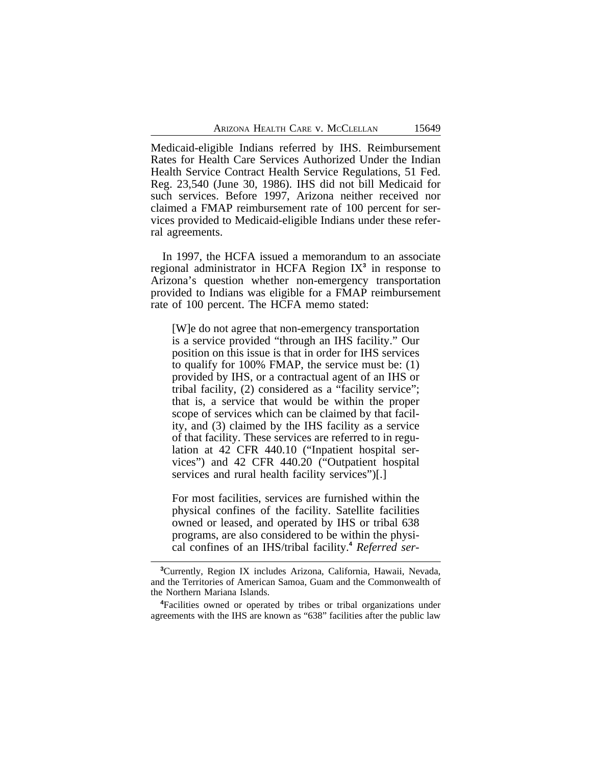Medicaid-eligible Indians referred by IHS. Reimbursement Rates for Health Care Services Authorized Under the Indian Health Service Contract Health Service Regulations, 51 Fed. Reg. 23,540 (June 30, 1986). IHS did not bill Medicaid for such services. Before 1997, Arizona neither received nor claimed a FMAP reimbursement rate of 100 percent for services provided to Medicaid-eligible Indians under these referral agreements.

In 1997, the HCFA issued a memorandum to an associate regional administrator in HCFA Region IX**<sup>3</sup>** in response to Arizona's question whether non-emergency transportation provided to Indians was eligible for a FMAP reimbursement rate of 100 percent. The HCFA memo stated:

[W]e do not agree that non-emergency transportation is a service provided "through an IHS facility." Our position on this issue is that in order for IHS services to qualify for 100% FMAP, the service must be: (1) provided by IHS, or a contractual agent of an IHS or tribal facility, (2) considered as a "facility service"; that is, a service that would be within the proper scope of services which can be claimed by that facility, and (3) claimed by the IHS facility as a service of that facility. These services are referred to in regulation at 42 CFR 440.10 ("Inpatient hospital services") and 42 CFR 440.20 ("Outpatient hospital services and rural health facility services")[.]

For most facilities, services are furnished within the physical confines of the facility. Satellite facilities owned or leased, and operated by IHS or tribal 638 programs, are also considered to be within the physical confines of an IHS/tribal facility.**<sup>4</sup>** *Referred ser-*

**<sup>3</sup>**Currently, Region IX includes Arizona, California, Hawaii, Nevada, and the Territories of American Samoa, Guam and the Commonwealth of the Northern Mariana Islands.

**<sup>4</sup>**Facilities owned or operated by tribes or tribal organizations under agreements with the IHS are known as "638" facilities after the public law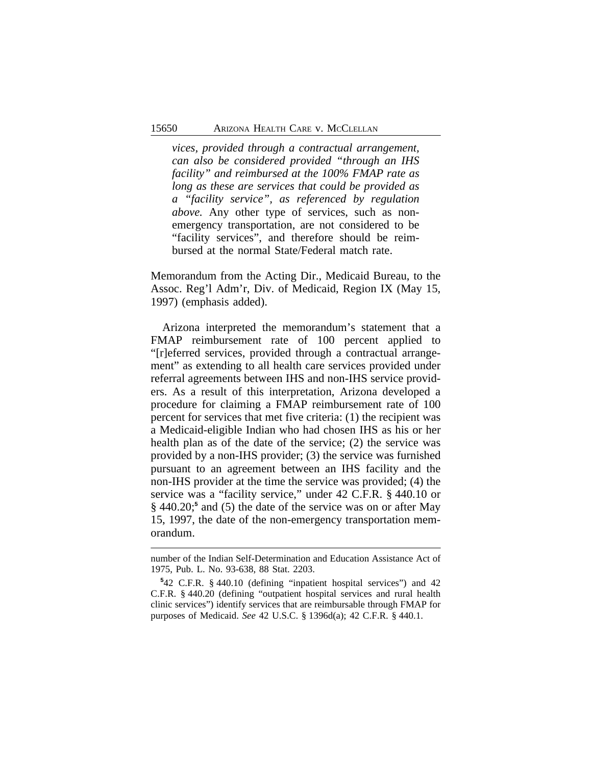*vices, provided through a contractual arrangement, can also be considered provided "through an IHS facility" and reimbursed at the 100% FMAP rate as long as these are services that could be provided as a "facility service", as referenced by regulation above.* Any other type of services, such as nonemergency transportation, are not considered to be "facility services", and therefore should be reimbursed at the normal State/Federal match rate.

Memorandum from the Acting Dir., Medicaid Bureau, to the Assoc. Reg'l Adm'r, Div. of Medicaid, Region IX (May 15, 1997) (emphasis added).

Arizona interpreted the memorandum's statement that a FMAP reimbursement rate of 100 percent applied to "[r]eferred services, provided through a contractual arrangement" as extending to all health care services provided under referral agreements between IHS and non-IHS service providers. As a result of this interpretation, Arizona developed a procedure for claiming a FMAP reimbursement rate of 100 percent for services that met five criteria: (1) the recipient was a Medicaid-eligible Indian who had chosen IHS as his or her health plan as of the date of the service; (2) the service was provided by a non-IHS provider; (3) the service was furnished pursuant to an agreement between an IHS facility and the non-IHS provider at the time the service was provided; (4) the service was a "facility service," under 42 C.F.R. § 440.10 or § 440.20;<sup>5</sup> and (5) the date of the service was on or after May 15, 1997, the date of the non-emergency transportation memorandum.

number of the Indian Self-Determination and Education Assistance Act of 1975, Pub. L. No. 93-638, 88 Stat. 2203.

**<sup>5</sup>** 42 C.F.R. § 440.10 (defining "inpatient hospital services") and 42 C.F.R. § 440.20 (defining "outpatient hospital services and rural health clinic services") identify services that are reimbursable through FMAP for purposes of Medicaid. *See* 42 U.S.C. § 1396d(a); 42 C.F.R. § 440.1.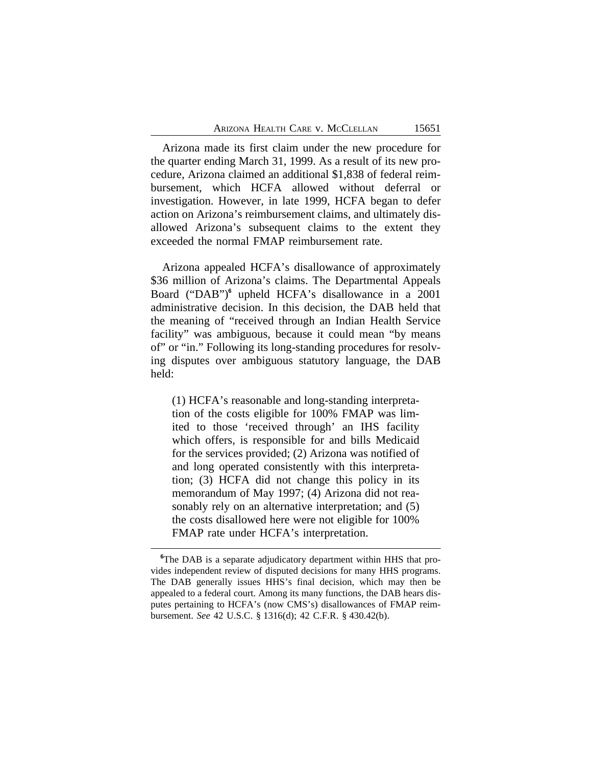Arizona made its first claim under the new procedure for the quarter ending March 31, 1999. As a result of its new procedure, Arizona claimed an additional \$1,838 of federal reimbursement, which HCFA allowed without deferral or investigation. However, in late 1999, HCFA began to defer action on Arizona's reimbursement claims, and ultimately disallowed Arizona's subsequent claims to the extent they exceeded the normal FMAP reimbursement rate.

Arizona appealed HCFA's disallowance of approximately \$36 million of Arizona's claims. The Departmental Appeals Board ("DAB")<sup>6</sup> upheld HCFA's disallowance in a 2001 administrative decision. In this decision, the DAB held that the meaning of "received through an Indian Health Service facility" was ambiguous, because it could mean "by means of" or "in." Following its long-standing procedures for resolving disputes over ambiguous statutory language, the DAB held:

(1) HCFA's reasonable and long-standing interpretation of the costs eligible for 100% FMAP was limited to those 'received through' an IHS facility which offers, is responsible for and bills Medicaid for the services provided; (2) Arizona was notified of and long operated consistently with this interpretation; (3) HCFA did not change this policy in its memorandum of May 1997; (4) Arizona did not reasonably rely on an alternative interpretation; and (5) the costs disallowed here were not eligible for 100% FMAP rate under HCFA's interpretation.

**<sup>6</sup>**The DAB is a separate adjudicatory department within HHS that provides independent review of disputed decisions for many HHS programs. The DAB generally issues HHS's final decision, which may then be appealed to a federal court. Among its many functions, the DAB hears disputes pertaining to HCFA's (now CMS's) disallowances of FMAP reimbursement. *See* 42 U.S.C. § 1316(d); 42 C.F.R. § 430.42(b).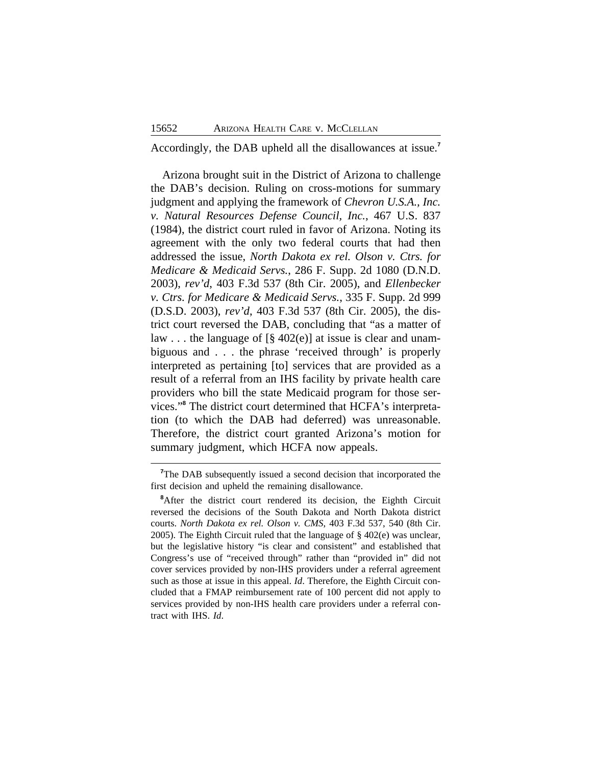Accordingly, the DAB upheld all the disallowances at issue.**<sup>7</sup>**

Arizona brought suit in the District of Arizona to challenge the DAB's decision. Ruling on cross-motions for summary judgment and applying the framework of *Chevron U.S.A., Inc. v. Natural Resources Defense Council, Inc.*, 467 U.S. 837 (1984), the district court ruled in favor of Arizona. Noting its agreement with the only two federal courts that had then addressed the issue, *North Dakota ex rel. Olson v. Ctrs. for Medicare & Medicaid Servs.*, 286 F. Supp. 2d 1080 (D.N.D. 2003), *rev'd*, 403 F.3d 537 (8th Cir. 2005), and *Ellenbecker v. Ctrs. for Medicare & Medicaid Servs.*, 335 F. Supp. 2d 999 (D.S.D. 2003), *rev'd*, 403 F.3d 537 (8th Cir. 2005), the district court reversed the DAB, concluding that "as a matter of law . . . the language of [§ 402(e)] at issue is clear and unambiguous and . . . the phrase 'received through' is properly interpreted as pertaining [to] services that are provided as a result of a referral from an IHS facility by private health care providers who bill the state Medicaid program for those services."**<sup>8</sup>** The district court determined that HCFA's interpretation (to which the DAB had deferred) was unreasonable. Therefore, the district court granted Arizona's motion for summary judgment, which HCFA now appeals.

<sup>&</sup>lt;sup>7</sup>The DAB subsequently issued a second decision that incorporated the first decision and upheld the remaining disallowance.

<sup>&</sup>lt;sup>8</sup>After the district court rendered its decision, the Eighth Circuit reversed the decisions of the South Dakota and North Dakota district courts. *North Dakota ex rel. Olson v. CMS*, 403 F.3d 537, 540 (8th Cir. 2005). The Eighth Circuit ruled that the language of § 402(e) was unclear, but the legislative history "is clear and consistent" and established that Congress's use of "received through" rather than "provided in" did not cover services provided by non-IHS providers under a referral agreement such as those at issue in this appeal. *Id*. Therefore, the Eighth Circuit concluded that a FMAP reimbursement rate of 100 percent did not apply to services provided by non-IHS health care providers under a referral contract with IHS. *Id*.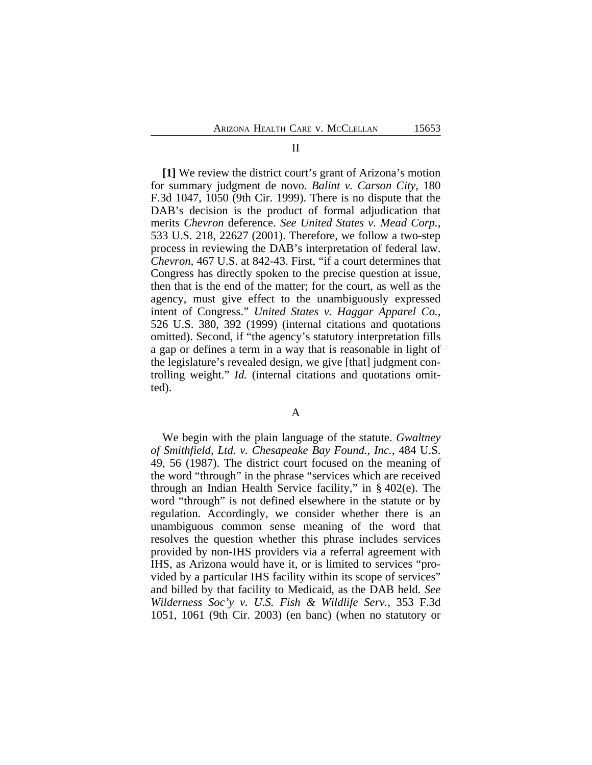**[1]** We review the district court's grant of Arizona's motion for summary judgment de novo. *Balint v. Carson City*, 180 F.3d 1047, 1050 (9th Cir. 1999). There is no dispute that the DAB's decision is the product of formal adjudication that merits *Chevron* deference. *See United States v. Mead Corp.*, 533 U.S. 218, 22627 (2001). Therefore, we follow a two-step process in reviewing the DAB's interpretation of federal law. *Chevron*, 467 U.S. at 842-43. First, "if a court determines that Congress has directly spoken to the precise question at issue, then that is the end of the matter; for the court, as well as the agency, must give effect to the unambiguously expressed intent of Congress." *United States v. Haggar Apparel Co.*, 526 U.S. 380, 392 (1999) (internal citations and quotations omitted). Second, if "the agency's statutory interpretation fills a gap or defines a term in a way that is reasonable in light of the legislature's revealed design, we give [that] judgment controlling weight." *Id.* (internal citations and quotations omitted).

A

We begin with the plain language of the statute. *Gwaltney of Smithfield, Ltd. v. Chesapeake Bay Found., Inc.*, 484 U.S. 49, 56 (1987). The district court focused on the meaning of the word "through" in the phrase "services which are received through an Indian Health Service facility," in § 402(e). The word "through" is not defined elsewhere in the statute or by regulation. Accordingly, we consider whether there is an unambiguous common sense meaning of the word that resolves the question whether this phrase includes services provided by non-IHS providers via a referral agreement with IHS, as Arizona would have it, or is limited to services "provided by a particular IHS facility within its scope of services" and billed by that facility to Medicaid, as the DAB held. *See Wilderness Soc'y v. U.S. Fish & Wildlife Serv.*, 353 F.3d 1051, 1061 (9th Cir. 2003) (en banc) (when no statutory or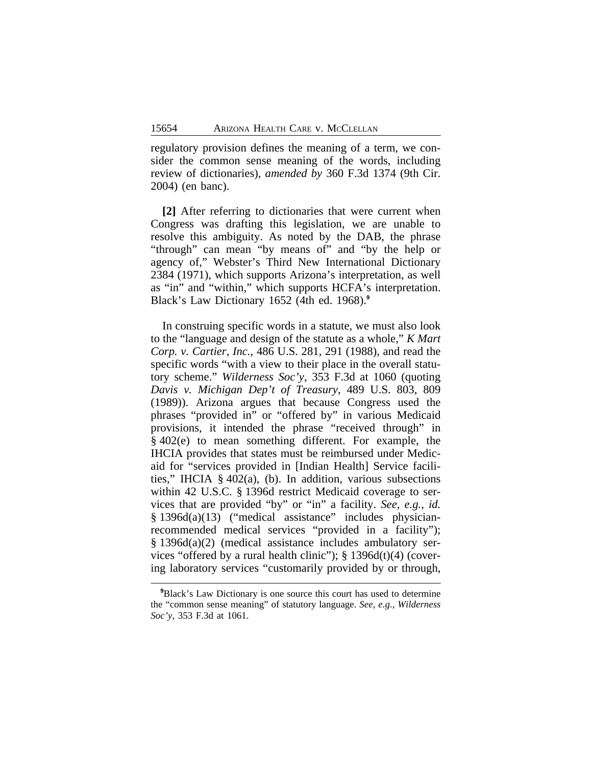regulatory provision defines the meaning of a term, we consider the common sense meaning of the words, including review of dictionaries), *amended by* 360 F.3d 1374 (9th Cir. 2004) (en banc).

**[2]** After referring to dictionaries that were current when Congress was drafting this legislation, we are unable to resolve this ambiguity. As noted by the DAB, the phrase "through" can mean "by means of" and "by the help or agency of," Webster's Third New International Dictionary 2384 (1971), which supports Arizona's interpretation, as well as "in" and "within," which supports HCFA's interpretation. Black's Law Dictionary 1652 (4th ed. 1968).**<sup>9</sup>**

In construing specific words in a statute, we must also look to the "language and design of the statute as a whole," *K Mart Corp. v. Cartier, Inc.*, 486 U.S. 281, 291 (1988), and read the specific words "with a view to their place in the overall statutory scheme." *Wilderness Soc'y*, 353 F.3d at 1060 (quoting *Davis v. Michigan Dep't of Treasury*, 489 U.S. 803, 809 (1989)). Arizona argues that because Congress used the phrases "provided in" or "offered by" in various Medicaid provisions, it intended the phrase "received through" in § 402(e) to mean something different. For example, the IHCIA provides that states must be reimbursed under Medicaid for "services provided in [Indian Health] Service facilities," IHCIA § 402(a), (b). In addition, various subsections within 42 U.S.C. § 1396d restrict Medicaid coverage to services that are provided "by" or "in" a facility. *See, e.g.*, *id.* § 1396d(a)(13) ("medical assistance" includes physicianrecommended medical services "provided in a facility"); § 1396d(a)(2) (medical assistance includes ambulatory services "offered by a rural health clinic");  $\S$  1396d(t)(4) (covering laboratory services "customarily provided by or through,

**<sup>9</sup>**Black's Law Dictionary is one source this court has used to determine the "common sense meaning" of statutory language. *See, e.g.*, *Wilderness Soc'y*, 353 F.3d at 1061.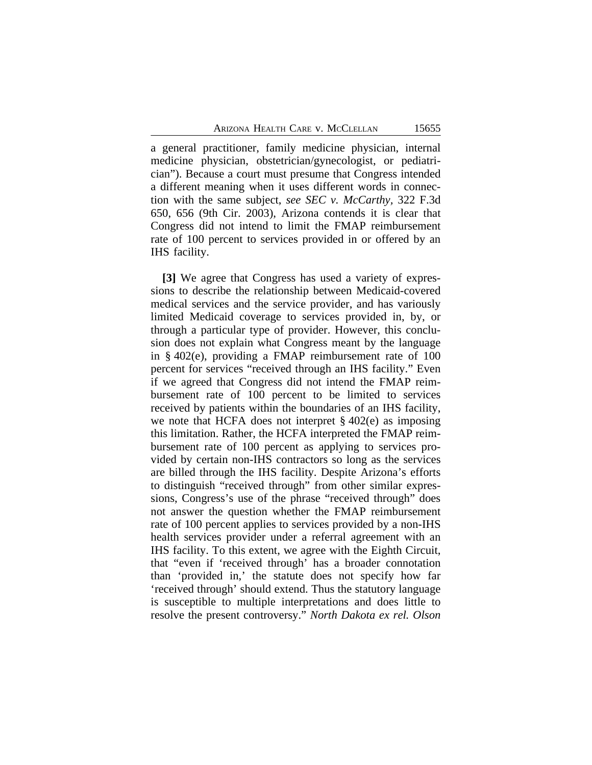a general practitioner, family medicine physician, internal medicine physician, obstetrician/gynecologist, or pediatrician"). Because a court must presume that Congress intended a different meaning when it uses different words in connection with the same subject, *see SEC v. McCarthy,* 322 F.3d 650, 656 (9th Cir. 2003), Arizona contends it is clear that Congress did not intend to limit the FMAP reimbursement rate of 100 percent to services provided in or offered by an IHS facility.

**[3]** We agree that Congress has used a variety of expressions to describe the relationship between Medicaid-covered medical services and the service provider, and has variously limited Medicaid coverage to services provided in, by, or through a particular type of provider. However, this conclusion does not explain what Congress meant by the language in § 402(e), providing a FMAP reimbursement rate of 100 percent for services "received through an IHS facility." Even if we agreed that Congress did not intend the FMAP reimbursement rate of 100 percent to be limited to services received by patients within the boundaries of an IHS facility, we note that HCFA does not interpret § 402(e) as imposing this limitation. Rather, the HCFA interpreted the FMAP reimbursement rate of 100 percent as applying to services provided by certain non-IHS contractors so long as the services are billed through the IHS facility. Despite Arizona's efforts to distinguish "received through" from other similar expressions, Congress's use of the phrase "received through" does not answer the question whether the FMAP reimbursement rate of 100 percent applies to services provided by a non-IHS health services provider under a referral agreement with an IHS facility. To this extent, we agree with the Eighth Circuit, that "even if 'received through' has a broader connotation than 'provided in,' the statute does not specify how far 'received through' should extend. Thus the statutory language is susceptible to multiple interpretations and does little to resolve the present controversy." *North Dakota ex rel. Olson*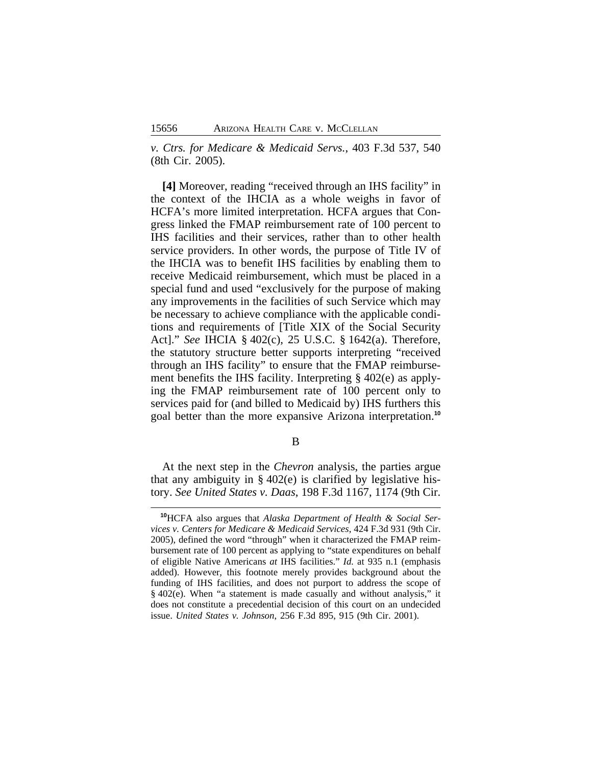*v. Ctrs. for Medicare & Medicaid Servs.*, 403 F.3d 537, 540 (8th Cir. 2005).

**[4]** Moreover, reading "received through an IHS facility" in the context of the IHCIA as a whole weighs in favor of HCFA's more limited interpretation. HCFA argues that Congress linked the FMAP reimbursement rate of 100 percent to IHS facilities and their services, rather than to other health service providers. In other words, the purpose of Title IV of the IHCIA was to benefit IHS facilities by enabling them to receive Medicaid reimbursement, which must be placed in a special fund and used "exclusively for the purpose of making any improvements in the facilities of such Service which may be necessary to achieve compliance with the applicable conditions and requirements of [Title XIX of the Social Security Act]." *See* IHCIA § 402(c), 25 U.S.C. § 1642(a). Therefore, the statutory structure better supports interpreting "received through an IHS facility" to ensure that the FMAP reimbursement benefits the IHS facility. Interpreting § 402(e) as applying the FMAP reimbursement rate of 100 percent only to services paid for (and billed to Medicaid by) IHS furthers this goal better than the more expansive Arizona interpretation.**<sup>10</sup>**

B

At the next step in the *Chevron* analysis, the parties argue that any ambiguity in  $\S$  402(e) is clarified by legislative history. *See United States v. Daas*, 198 F.3d 1167, 1174 (9th Cir.

**<sup>10</sup>**HCFA also argues that *Alaska Department of Health & Social Services v. Centers for Medicare & Medicaid Services*, 424 F.3d 931 (9th Cir. 2005), defined the word "through" when it characterized the FMAP reimbursement rate of 100 percent as applying to "state expenditures on behalf of eligible Native Americans *at* IHS facilities." *Id.* at 935 n.1 (emphasis added). However, this footnote merely provides background about the funding of IHS facilities, and does not purport to address the scope of § 402(e). When "a statement is made casually and without analysis," it does not constitute a precedential decision of this court on an undecided issue. *United States v. Johnson*, 256 F.3d 895, 915 (9th Cir. 2001).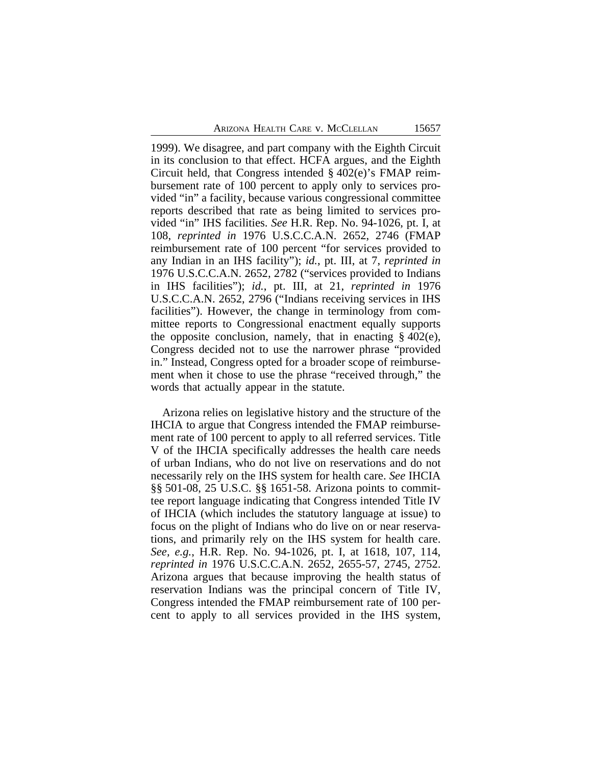1999). We disagree, and part company with the Eighth Circuit in its conclusion to that effect. HCFA argues, and the Eighth Circuit held, that Congress intended § 402(e)'s FMAP reimbursement rate of 100 percent to apply only to services provided "in" a facility, because various congressional committee reports described that rate as being limited to services provided "in" IHS facilities. *See* H.R. Rep. No. 94-1026, pt. I, at 108, *reprinted in* 1976 U.S.C.C.A.N. 2652, 2746 (FMAP reimbursement rate of 100 percent "for services provided to any Indian in an IHS facility"); *id.*, pt. III, at 7, *reprinted in* 1976 U.S.C.C.A.N. 2652, 2782 ("services provided to Indians in IHS facilities"); *id.*, pt. III, at 21, *reprinted in* 1976 U.S.C.C.A.N. 2652, 2796 ("Indians receiving services in IHS facilities"). However, the change in terminology from committee reports to Congressional enactment equally supports the opposite conclusion, namely, that in enacting  $\S 402(e)$ , Congress decided not to use the narrower phrase "provided in." Instead, Congress opted for a broader scope of reimbursement when it chose to use the phrase "received through," the words that actually appear in the statute.

Arizona relies on legislative history and the structure of the IHCIA to argue that Congress intended the FMAP reimbursement rate of 100 percent to apply to all referred services. Title V of the IHCIA specifically addresses the health care needs of urban Indians, who do not live on reservations and do not necessarily rely on the IHS system for health care. *See* IHCIA §§ 501-08, 25 U.S.C. §§ 1651-58. Arizona points to committee report language indicating that Congress intended Title IV of IHCIA (which includes the statutory language at issue) to focus on the plight of Indians who do live on or near reservations, and primarily rely on the IHS system for health care. *See, e.g.*, H.R. Rep. No. 94-1026, pt. I, at 1618, 107, 114, *reprinted in* 1976 U.S.C.C.A.N. 2652, 2655-57, 2745, 2752. Arizona argues that because improving the health status of reservation Indians was the principal concern of Title IV, Congress intended the FMAP reimbursement rate of 100 percent to apply to all services provided in the IHS system,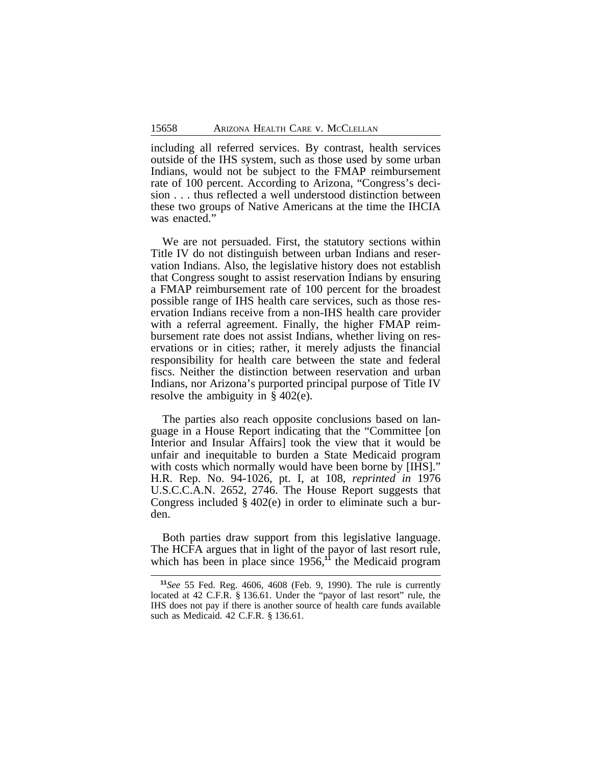including all referred services. By contrast, health services outside of the IHS system, such as those used by some urban Indians, would not be subject to the FMAP reimbursement rate of 100 percent. According to Arizona, "Congress's decision . . . thus reflected a well understood distinction between these two groups of Native Americans at the time the IHCIA was enacted."

We are not persuaded. First, the statutory sections within Title IV do not distinguish between urban Indians and reservation Indians. Also, the legislative history does not establish that Congress sought to assist reservation Indians by ensuring a FMAP reimbursement rate of 100 percent for the broadest possible range of IHS health care services, such as those reservation Indians receive from a non-IHS health care provider with a referral agreement. Finally, the higher FMAP reimbursement rate does not assist Indians, whether living on reservations or in cities; rather, it merely adjusts the financial responsibility for health care between the state and federal fiscs. Neither the distinction between reservation and urban Indians, nor Arizona's purported principal purpose of Title IV resolve the ambiguity in § 402(e).

The parties also reach opposite conclusions based on language in a House Report indicating that the "Committee [on Interior and Insular Affairs] took the view that it would be unfair and inequitable to burden a State Medicaid program with costs which normally would have been borne by [IHS]." H.R. Rep. No. 94-1026, pt. I, at 108, *reprinted in* 1976 U.S.C.C.A.N. 2652, 2746. The House Report suggests that Congress included § 402(e) in order to eliminate such a burden.

Both parties draw support from this legislative language. The HCFA argues that in light of the payor of last resort rule, which has been in place since 1956,<sup>11</sup> the Medicaid program

**<sup>11</sup>***See* 55 Fed. Reg. 4606, 4608 (Feb. 9, 1990). The rule is currently located at 42 C.F.R. § 136.61. Under the "payor of last resort" rule, the IHS does not pay if there is another source of health care funds available such as Medicaid. 42 C.F.R. § 136.61.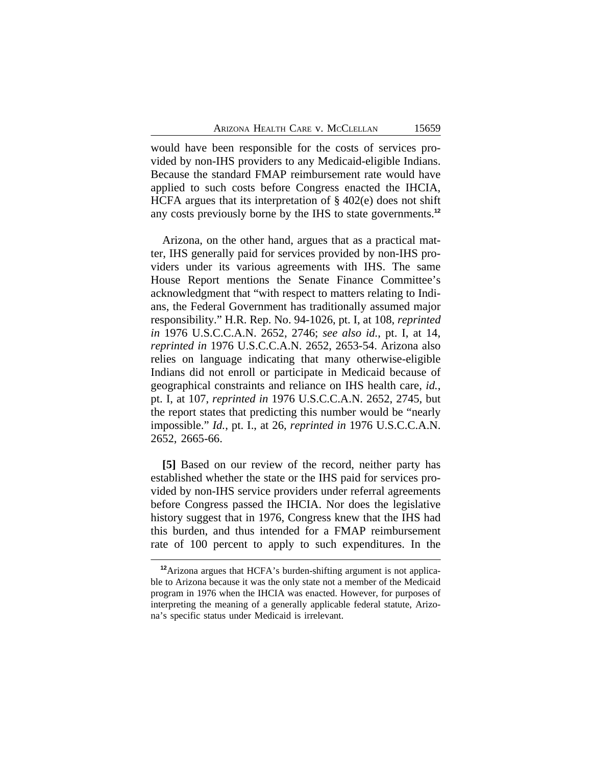would have been responsible for the costs of services provided by non-IHS providers to any Medicaid-eligible Indians. Because the standard FMAP reimbursement rate would have applied to such costs before Congress enacted the IHCIA, HCFA argues that its interpretation of § 402(e) does not shift any costs previously borne by the IHS to state governments.**<sup>12</sup>**

Arizona, on the other hand, argues that as a practical matter, IHS generally paid for services provided by non-IHS providers under its various agreements with IHS. The same House Report mentions the Senate Finance Committee's acknowledgment that "with respect to matters relating to Indians, the Federal Government has traditionally assumed major responsibility." H.R. Rep. No. 94-1026, pt. I, at 108, *reprinted in* 1976 U.S.C.C.A.N. 2652, 2746; *see also id.*, pt. I, at 14, *reprinted in* 1976 U.S.C.C.A.N. 2652, 2653-54. Arizona also relies on language indicating that many otherwise-eligible Indians did not enroll or participate in Medicaid because of geographical constraints and reliance on IHS health care, *id.*, pt. I, at 107, *reprinted in* 1976 U.S.C.C.A.N. 2652, 2745, but the report states that predicting this number would be "nearly impossible." *Id.*, pt. I., at 26, *reprinted in* 1976 U.S.C.C.A.N. 2652, 2665-66.

**[5]** Based on our review of the record, neither party has established whether the state or the IHS paid for services provided by non-IHS service providers under referral agreements before Congress passed the IHCIA. Nor does the legislative history suggest that in 1976, Congress knew that the IHS had this burden, and thus intended for a FMAP reimbursement rate of 100 percent to apply to such expenditures. In the

**<sup>12</sup>**Arizona argues that HCFA's burden-shifting argument is not applicable to Arizona because it was the only state not a member of the Medicaid program in 1976 when the IHCIA was enacted. However, for purposes of interpreting the meaning of a generally applicable federal statute, Arizona's specific status under Medicaid is irrelevant.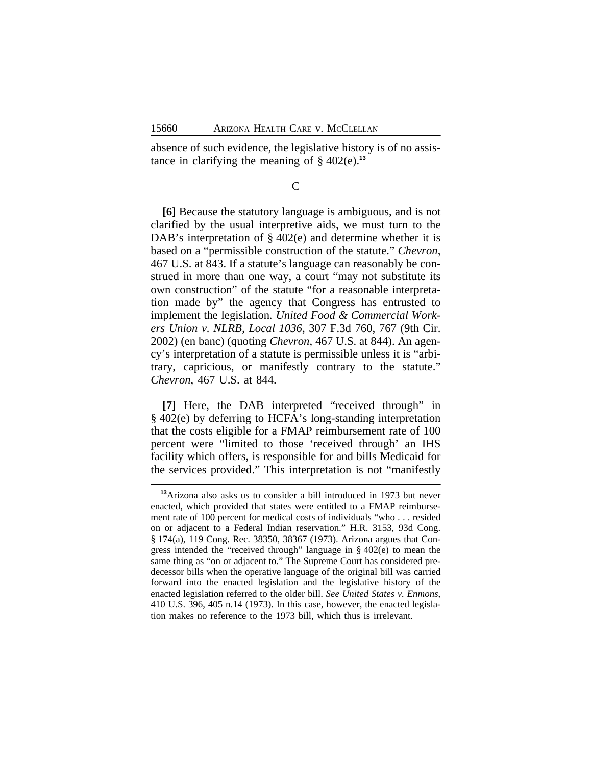absence of such evidence, the legislative history is of no assistance in clarifying the meaning of  $\S$  402(e).<sup>13</sup>

C

**[6]** Because the statutory language is ambiguous, and is not clarified by the usual interpretive aids, we must turn to the DAB's interpretation of  $\S$  402(e) and determine whether it is based on a "permissible construction of the statute." *Chevron*, 467 U.S. at 843. If a statute's language can reasonably be construed in more than one way, a court "may not substitute its own construction" of the statute "for a reasonable interpretation made by" the agency that Congress has entrusted to implement the legislation*. United Food & Commercial Workers Union v. NLRB, Local 1036*, 307 F.3d 760, 767 (9th Cir. 2002) (en banc) (quoting *Chevron*, 467 U.S. at 844). An agency's interpretation of a statute is permissible unless it is "arbitrary, capricious, or manifestly contrary to the statute." *Chevron*, 467 U.S. at 844.

**[7]** Here, the DAB interpreted "received through" in § 402(e) by deferring to HCFA's long-standing interpretation that the costs eligible for a FMAP reimbursement rate of 100 percent were "limited to those 'received through' an IHS facility which offers, is responsible for and bills Medicaid for the services provided." This interpretation is not "manifestly

**<sup>13</sup>**Arizona also asks us to consider a bill introduced in 1973 but never enacted, which provided that states were entitled to a FMAP reimbursement rate of 100 percent for medical costs of individuals "who . . . resided on or adjacent to a Federal Indian reservation." H.R. 3153, 93d Cong. § 174(a), 119 Cong. Rec. 38350, 38367 (1973). Arizona argues that Congress intended the "received through" language in § 402(e) to mean the same thing as "on or adjacent to." The Supreme Court has considered predecessor bills when the operative language of the original bill was carried forward into the enacted legislation and the legislative history of the enacted legislation referred to the older bill. *See United States v. Enmons*, 410 U.S. 396, 405 n.14 (1973). In this case, however, the enacted legislation makes no reference to the 1973 bill, which thus is irrelevant.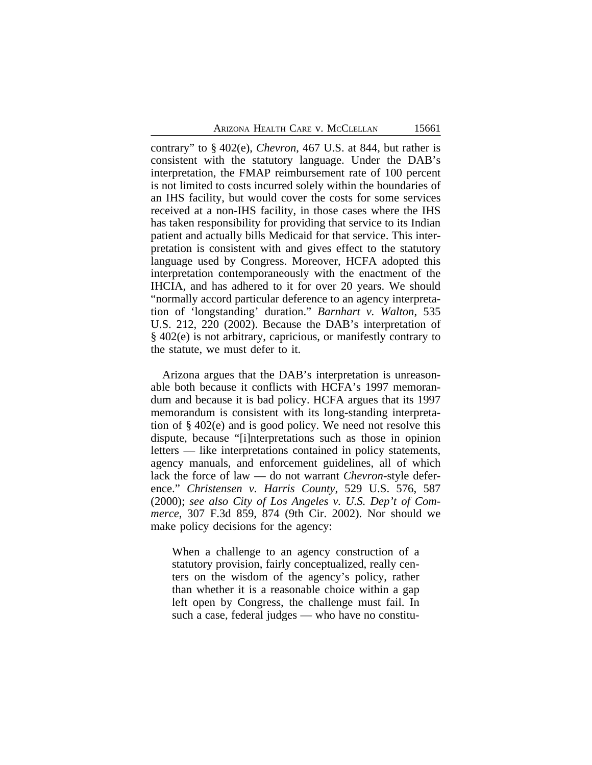contrary" to § 402(e), *Chevron*, 467 U.S. at 844, but rather is consistent with the statutory language. Under the DAB's interpretation, the FMAP reimbursement rate of 100 percent is not limited to costs incurred solely within the boundaries of an IHS facility, but would cover the costs for some services received at a non-IHS facility, in those cases where the IHS has taken responsibility for providing that service to its Indian patient and actually bills Medicaid for that service. This interpretation is consistent with and gives effect to the statutory language used by Congress. Moreover, HCFA adopted this interpretation contemporaneously with the enactment of the IHCIA, and has adhered to it for over 20 years. We should "normally accord particular deference to an agency interpretation of 'longstanding' duration." *Barnhart v. Walton*, 535 U.S. 212, 220 (2002). Because the DAB's interpretation of § 402(e) is not arbitrary, capricious, or manifestly contrary to the statute, we must defer to it.

Arizona argues that the DAB's interpretation is unreasonable both because it conflicts with HCFA's 1997 memorandum and because it is bad policy. HCFA argues that its 1997 memorandum is consistent with its long-standing interpretation of § 402(e) and is good policy. We need not resolve this dispute, because "[i]nterpretations such as those in opinion letters — like interpretations contained in policy statements, agency manuals, and enforcement guidelines, all of which lack the force of law — do not warrant *Chevron*-style deference." *Christensen v. Harris County*, 529 U.S. 576, 587 (2000); *see also City of Los Angeles v. U.S. Dep't of Commerce*, 307 F.3d 859, 874 (9th Cir. 2002). Nor should we make policy decisions for the agency:

When a challenge to an agency construction of a statutory provision, fairly conceptualized, really centers on the wisdom of the agency's policy, rather than whether it is a reasonable choice within a gap left open by Congress, the challenge must fail. In such a case, federal judges — who have no constitu